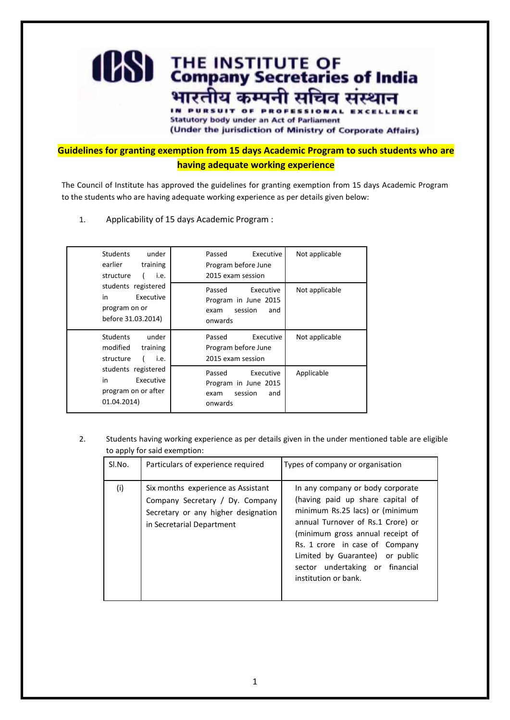## **THE INSTITUTE OF<br>Company Secretaries of India** भारतीय कम्पनी सचिव संस्थान IN PURSUIT OF PROFESSIONAL **EXCELLENCE**

**Statutory body under an Act of Parliament** (Under the jurisdiction of Ministry of Corporate Affairs)

## **Guidelines for granting exemption from 15 days Academic Program to such students who are having adequate working experience**

The Council of Institute has approved the guidelines for granting exemption from 15 days Academic Program to the students who are having adequate working experience as per details given below:

1. Applicability of 15 days Academic Program :

| <b>Students</b><br>under<br>earlier<br>training<br>structure<br>i.e.          | Passed<br>Executive<br>Program before June<br>2015 exam session                  | Not applicable |
|-------------------------------------------------------------------------------|----------------------------------------------------------------------------------|----------------|
| students registered<br>in<br>Executive<br>program on or<br>before 31.03.2014) | Executive<br>Passed<br>Program in June 2015<br>session<br>and<br>exam<br>onwards | Not applicable |
| <b>Students</b><br>under<br>modified<br>training<br>i.e.<br>structure         | Executive<br>Passed<br>Program before June<br>2015 exam session                  | Not applicable |
| students registered<br>in<br>Executive<br>program on or after<br>01.04.2014)  | Passed<br>Executive<br>Program in June 2015<br>session<br>and<br>exam<br>onwards | Applicable     |

2. Students having working experience as per details given in the under mentioned table are eligible to apply for said exemption:

| SI.No. | Particulars of experience required                                                                                                        | Types of company or organisation                                                                                                                                                                                                                                                                                 |
|--------|-------------------------------------------------------------------------------------------------------------------------------------------|------------------------------------------------------------------------------------------------------------------------------------------------------------------------------------------------------------------------------------------------------------------------------------------------------------------|
| (i)    | Six months experience as Assistant<br>Company Secretary / Dy. Company<br>Secretary or any higher designation<br>in Secretarial Department | In any company or body corporate<br>(having paid up share capital of<br>minimum Rs.25 lacs) or (minimum<br>annual Turnover of Rs.1 Crore) or<br>(minimum gross annual receipt of<br>Rs. 1 crore in case of Company<br>Limited by Guarantee) or public<br>sector undertaking or financial<br>institution or bank. |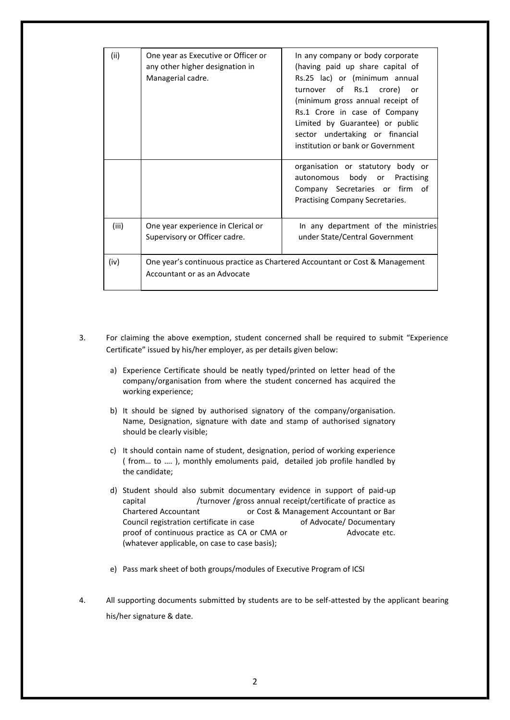| (ii)  | One year as Executive or Officer or<br>any other higher designation in<br>Managerial cadre.                 | In any company or body corporate<br>(having paid up share capital of<br>Rs.25 lac) or (minimum annual<br>turnover of Rs.1 crore) or<br>(minimum gross annual receipt of<br>Rs.1 Crore in case of Company<br>Limited by Guarantee) or public<br>sector undertaking or financial<br>institution or bank or Government |
|-------|-------------------------------------------------------------------------------------------------------------|---------------------------------------------------------------------------------------------------------------------------------------------------------------------------------------------------------------------------------------------------------------------------------------------------------------------|
|       |                                                                                                             | organisation or statutory body or<br>autonomous body or Practising<br>Company Secretaries or firm of<br>Practising Company Secretaries.                                                                                                                                                                             |
| (iii) | One year experience in Clerical or<br>Supervisory or Officer cadre.                                         | In any department of the ministries<br>under State/Central Government                                                                                                                                                                                                                                               |
| (iv)  | One year's continuous practice as Chartered Accountant or Cost & Management<br>Accountant or as an Advocate |                                                                                                                                                                                                                                                                                                                     |

- 3. For claiming the above exemption, student concerned shall be required to submit "Experience Certificate" issued by his/her employer, as per details given below:
	- a) Experience Certificate should be neatly typed/printed on letter head of the company/organisation from where the student concerned has acquired the working experience;
	- b) It should be signed by authorised signatory of the company/organisation. Name, Designation, signature with date and stamp of authorised signatory should be clearly visible;
	- c) It should contain name of student, designation, period of working experience ( from… to …. ), monthly emoluments paid, detailed job profile handled by the candidate;
	- d) Student should also submit documentary evidence in support of paid-up capital /turnover /gross annual receipt/certificate of practice as Chartered Accountant or Cost & Management Accountant or Bar Council registration certificate in case of Advocate/ Documentary proof of continuous practice as CA or CMA or Advocate etc. (whatever applicable, on case to case basis);
	- e) Pass mark sheet of both groups/modules of Executive Program of ICSI
- 4. All supporting documents submitted by students are to be self-attested by the applicant bearing his/her signature & date.